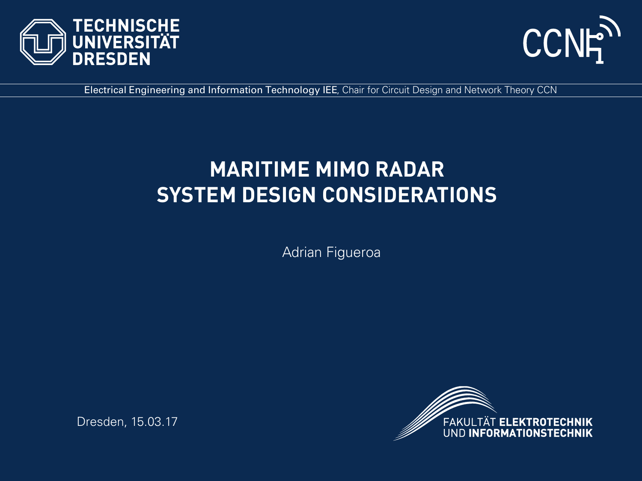



Electrical Engineering and Information Technology IEE, Chair for Circuit Design and Network Theory CCN

## **MARITIME MIMO RADAR SYSTEM DESIGN CONSIDERATIONS**

Adrian Figueroa



Dresden, 15.03.17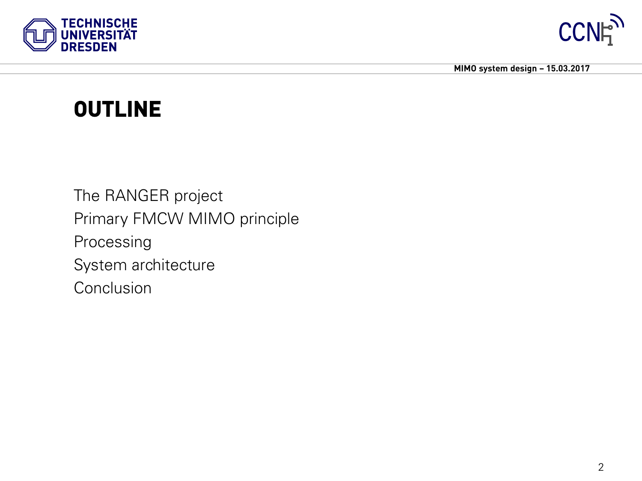



## **OUTLINE**

The RANGER project Primary FMCW MIMO principle Processing System architecture **Conclusion**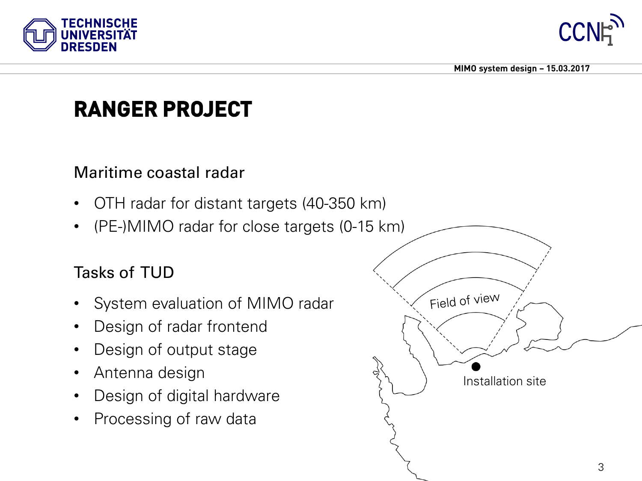



# **RANGER PROJECT**

#### Maritime coastal radar

- OTH radar for distant targets (40-350 km)
- (PE-)MIMO radar for close targets (0-15 km)

### Tasks of TUD

- System evaluation of MIMO radar
- Design of radar frontend
- Design of output stage
- Antenna design
- Design of digital hardware
- Processing of raw data

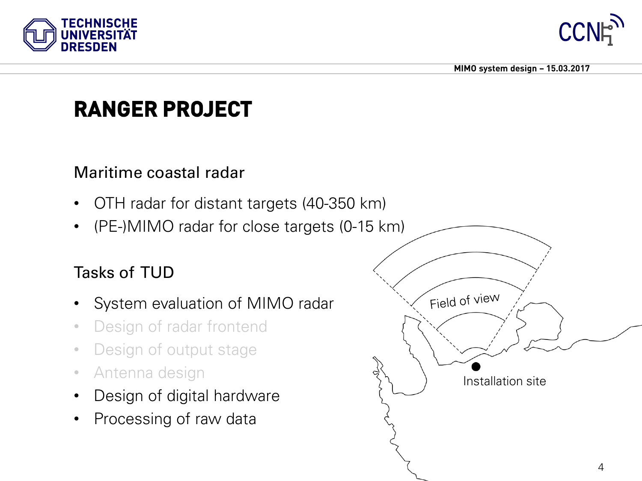



# **RANGER PROJECT**

#### Maritime coastal radar

- OTH radar for distant targets (40-350 km)
- (PE-)MIMO radar for close targets (0-15 km)

### Tasks of TUD

- System evaluation of MIMO radar
- Design of radar frontend
- Design of output stage
- Antenna design
- Design of digital hardware
- Processing of raw data

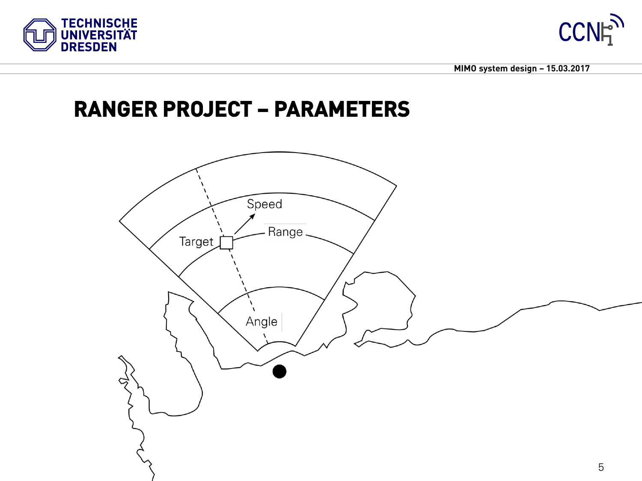



### **RANGER PROJECT – PARAMETERS**

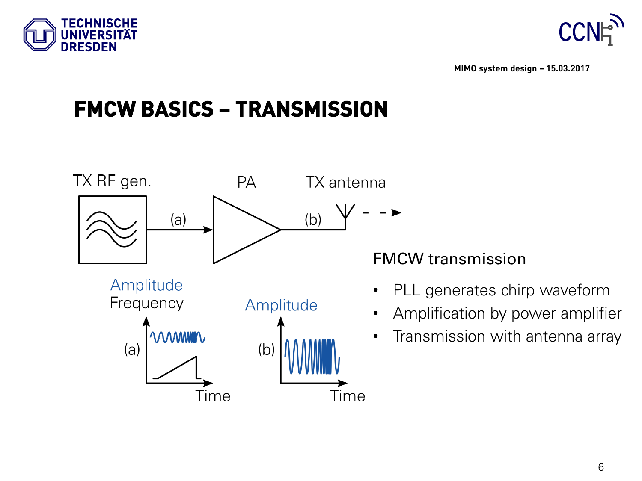



# **FMCW BASICS – TRANSMISSION**



FMCW transmission

- PLL generates chirp waveform
- Amplification by power amplifier
- Transmission with antenna array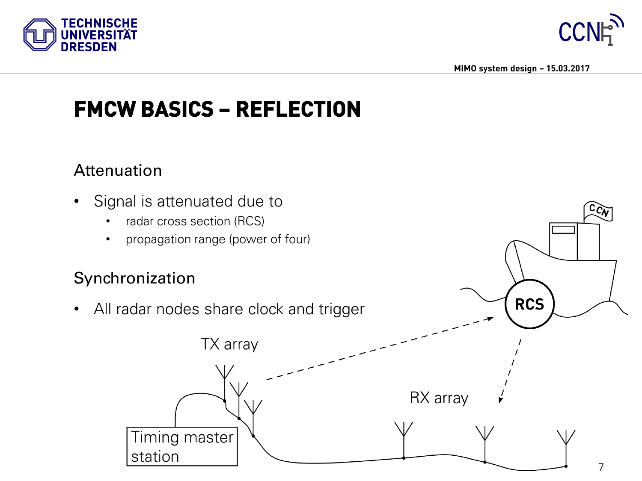



**RCS** 

# **FMCW BASICS – REFLECTION**

#### Attenuation

- Signal is attenuated due to
	- radar cross section (RCS)
	- propagation range (power of four)

#### Synchronization

• All radar nodes share clock and trigger

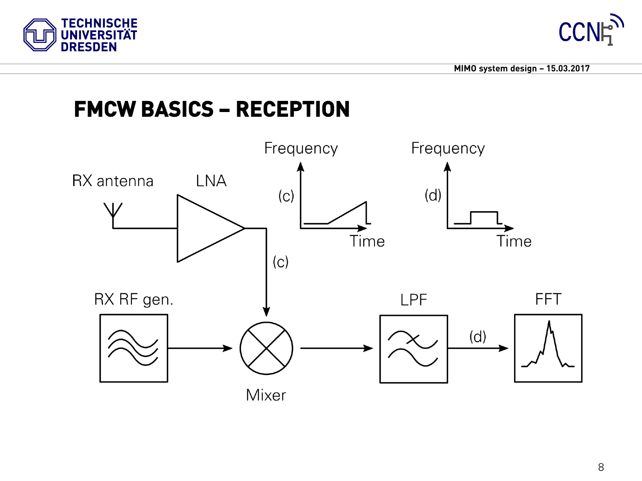



## **FMCW BASICS – RECEPTION**

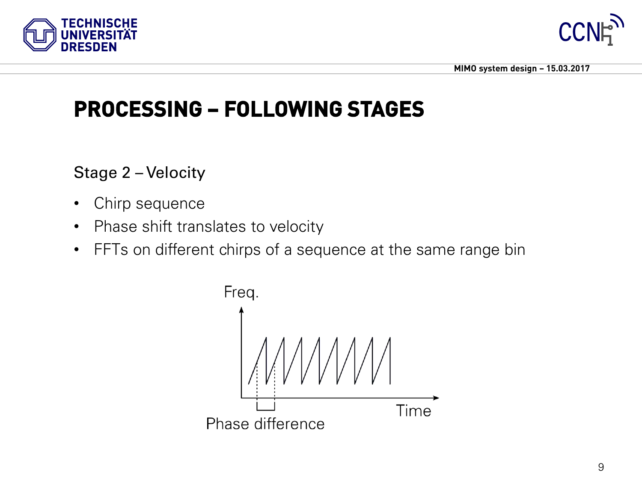![](_page_8_Picture_0.jpeg)

![](_page_8_Picture_1.jpeg)

## **PROCESSING – FOLLOWING STAGES**

Stage 2 – Velocity

- Chirp sequence
- Phase shift translates to velocity
- FFTs on different chirps of a sequence at the same range bin

![](_page_8_Figure_8.jpeg)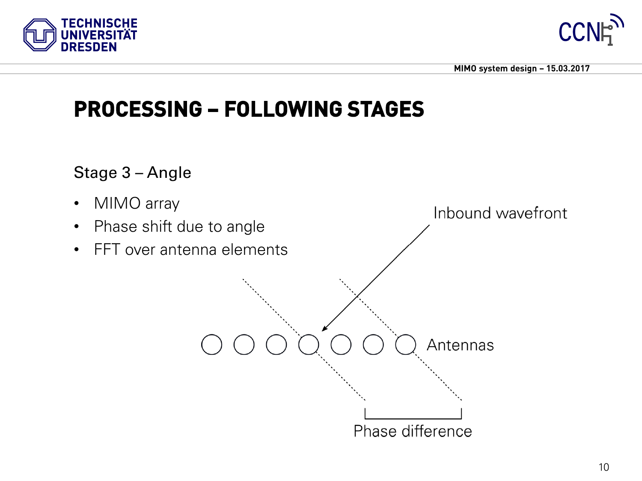![](_page_9_Picture_0.jpeg)

![](_page_9_Picture_1.jpeg)

## **PROCESSING – FOLLOWING STAGES**

Stage 3 – Angle

- MIMO array
- Phase shift due to angle
- FFT over antenna elements

![](_page_9_Figure_8.jpeg)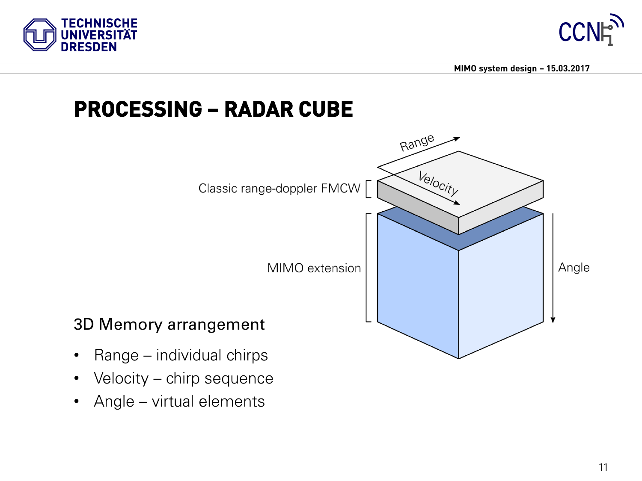![](_page_10_Picture_0.jpeg)

![](_page_10_Picture_1.jpeg)

### **PROCESSING – RADAR CUBE**

![](_page_10_Figure_4.jpeg)

- Velocity chirp sequence
- Angle virtual elements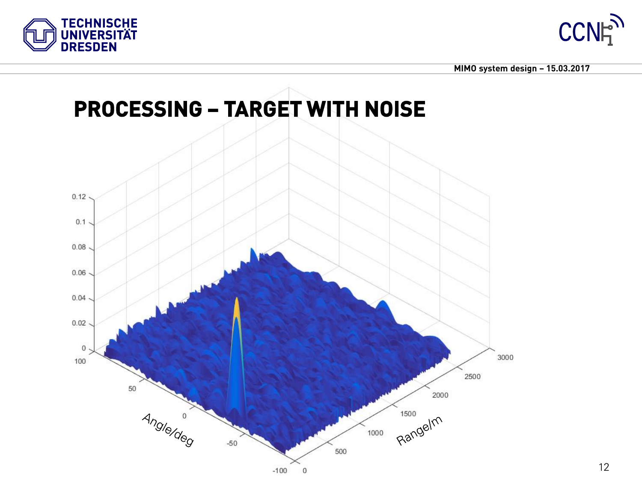![](_page_11_Picture_0.jpeg)

![](_page_11_Picture_1.jpeg)

![](_page_11_Figure_3.jpeg)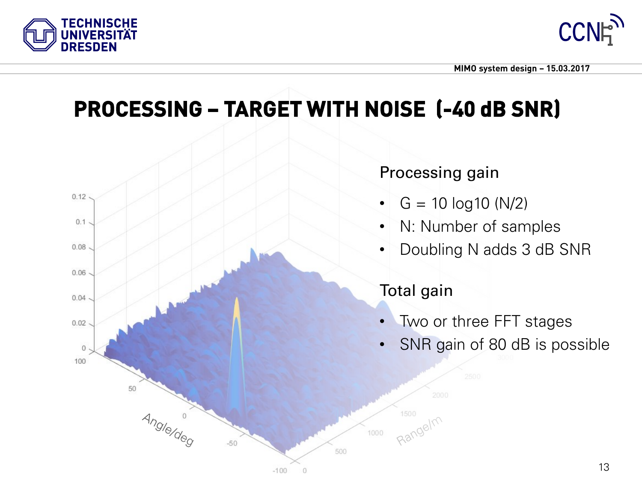![](_page_12_Picture_0.jpeg)

![](_page_12_Picture_1.jpeg)

## **PROCESSING – TARGET WITH NOISE (-40 dB SNR)**

![](_page_12_Figure_4.jpeg)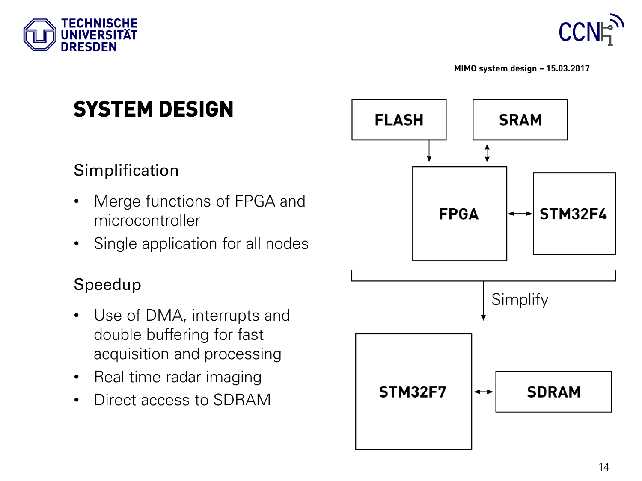![](_page_13_Picture_0.jpeg)

![](_page_13_Picture_1.jpeg)

# **SYSTEM DESIGN**

### **Simplification**

- Merge functions of FPGA and microcontroller
- Single application for all nodes

#### Speedup

- Use of DMA, interrupts and double buffering for fast acquisition and processing
- Real time radar imaging
- Direct access to SDRAM

![](_page_13_Figure_11.jpeg)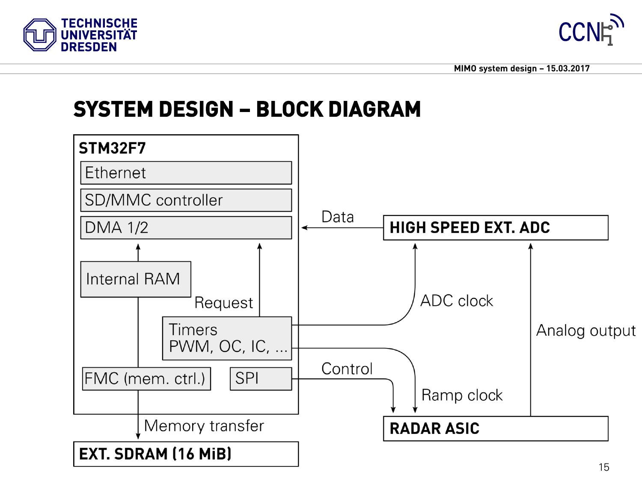![](_page_14_Picture_0.jpeg)

![](_page_14_Picture_1.jpeg)

## **SYSTEM DESIGN – BLOCK DIAGRAM**

![](_page_14_Figure_4.jpeg)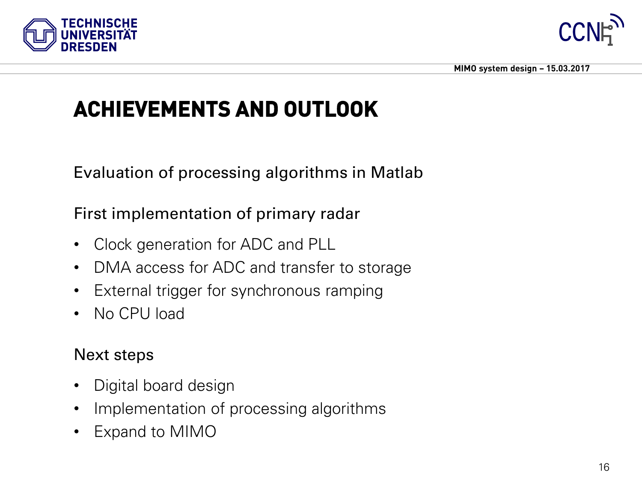![](_page_15_Picture_0.jpeg)

![](_page_15_Picture_1.jpeg)

# **ACHIEVEMENTS AND OUTLOOK**

Evaluation of processing algorithms in Matlab

First implementation of primary radar

- Clock generation for ADC and PLL
- DMA access for ADC and transfer to storage
- External trigger for synchronous ramping
- No CPU load

#### Next steps

- Digital board design
- Implementation of processing algorithms
- Expand to MIMO